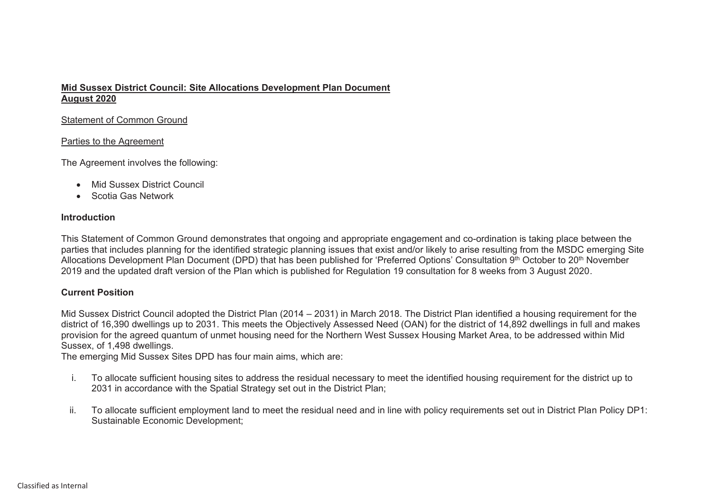## **Mid Sussex District Council: Site Allocations Development Plan Document August 2020**

#### Statement of Common Ground

#### Parties to the Agreement

The Agreement involves the following:

- Mid Sussex District Council
- Scotia Gas Network

## **Introduction**

This Statement of Common Ground demonstrates that ongoing and appropriate engagement and co-ordination is taking place between the parties that includes planning for the identified strategic planning issues that exist and/or likely to arise resulting from the MSDC emerging Site Allocations Development Plan Document (DPD) that has been published for 'Preferred Options' Consultation 9th October to 20th November 2019 and the updated draft version of the Plan which is published for Regulation 19 consultation for 8 weeks from 3 August 2020.

# **Current Position**

Mid Sussex District Council adopted the District Plan (2014 – 2031) in March 2018. The District Plan identified <sup>a</sup> housing requirement for the district of 16,390 dwellings up to 2031. This meets the Objectively Assessed Need (OAN) for the district of 14,892 dwellings in full and makes provision for the agreed quantum of unmet housing need for the Northern West Sussex Housing Market Area, to be addressed within Mid Sussex, of 1,498 dwellings.

The emerging Mid Sussex Sites DPD has four main aims, which are:

- i. To allocate sufficient housing sites to address the residual necessary to meet the identified housing requirement for the district up to 2031 in accordance with the Spatial Strategy set out in the District Plan;
- ii. To allocate sufficient employment land to meet the residual need and in line with policy requirements set out in District Plan Policy DP1: Sustainable Economic Development;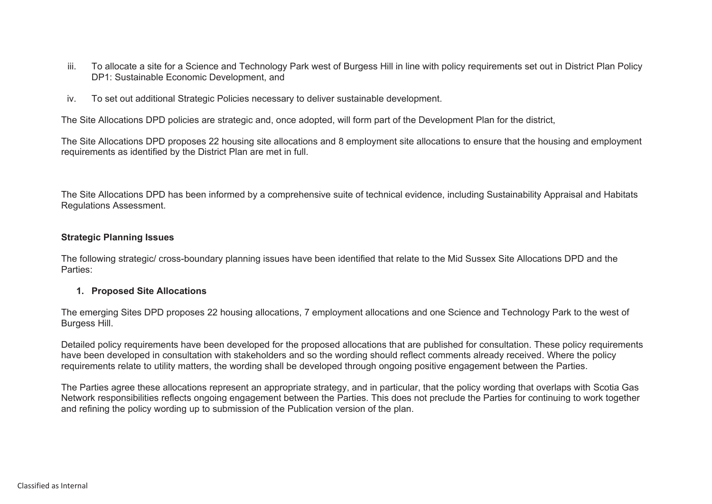- iii. To allocate a site for a Science and Technology Park west of Burgess Hill in line with policy requirements set out in District Plan Policy DP1: Sustainable Economic Development, and
- iv. To set out additional Strategic Policies necessary to deliver sustainable development.

The Site Allocations DPD policies are strategic and, once adopted, will form part of the Development Plan for the district,

The Site Allocations DPD proposes 22 housing site allocations and 8 employment site allocations to ensure that the housing and employment requirements as identified by the District Plan are met in full.

The Site Allocations DPD has been informed by a comprehensive suite of technical evidence, including Sustainability Appraisal and Habitats Regulations Assessment.

#### **Strategic Planning Issues**

The following strategic/ cross-boundary planning issues have been identified that relate to the Mid Sussex Site Allocations DPD and the Parties:

## **1. Proposed Site Allocations**

The emerging Sites DPD proposes 22 housing allocations, 7 employment allocations and one Science and Technology Park to the west of Burgess Hill.

Detailed policy requirements have been developed for the proposed allocations that are published for consultation. These policy requirements have been developed in consultation with stakeholders and so the wording should reflect comments already received. Where the policy requirements relate to utility matters, the wording shall be developed through ongoing positive engagement between the Parties.

The Parties agree these allocations represent an appropriate strategy, and in particular, that the policy wording that overlaps with Scotia Gas Network responsibilities reflects ongoing engagement between the Parties. This does not preclude the Parties for continuing to work together and refining the policy wording up to submission of the Publication version of the plan.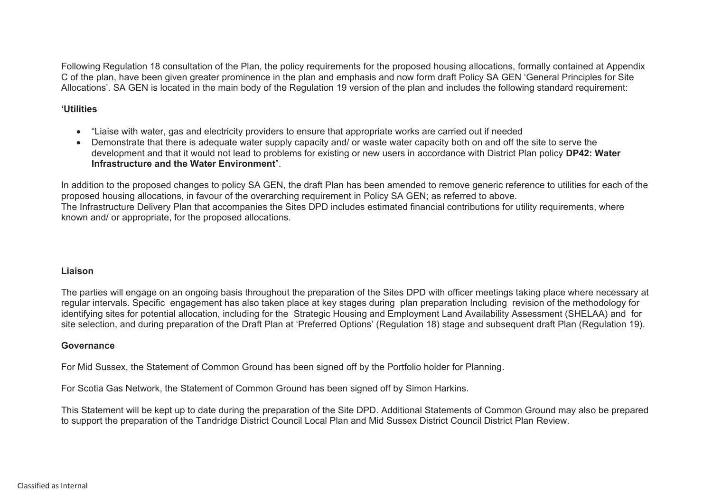Following Regulation 18 consultation of the Plan, the policy requirements for the proposed housing allocations, formally contained at Appendix C of the plan, have been given greater prominence in the plan and emphasis and now form draft Policy SA GEN 'General Principles for Site Allocations'. SA GEN is located in the main body of the Regulation 19 version of the plan and includes the following standard requirement:

## **'Utilities**

- "Liaise with water, gas and electricity providers to ensure that appropriate works are carried out if needed
- Demonstrate that there is adequate water supply capacity and/ or waste water capacity both on and off the site to serve the development and that it would not lead to problems for existing or new users in accordance with District Plan policy **DP42: Water Infrastructure and the Water Environment**".

In addition to the proposed changes to policy SA GEN, the draft Plan has been amended to remove generic reference to utilities for each of the proposed housing allocations, in favour of the overarching requirement in Policy SA GEN; as referred to above. The Infrastructure Delivery Plan that accompanies the Sites DPD includes estimated financial contributions for utility requirements, where known and/ or appropriate, for the proposed allocations.

## **Liaison**

The parties will engage on an ongoing basis throughout the preparation of the Sites DPD with officer meetings taking place where necessary at regular intervals. Specific engagement has also taken place at key stages during plan preparation Including revision of the methodology for identifying sites for potential allocation, including for the Strategic Housing and Employment Land Availability Assessment (SHELAA) and for site selection, and during preparation of the Draft Plan at 'Preferred Options' (Regulation 18) stage and subsequent draft Plan (Regulation 19).

## **Governance**

For Mid Sussex, the Statement of Common Ground has been signed off by the Portfolio holder for Planning.

For Scotia Gas Network, the Statement of Common Ground has been signed off by Simon Harkins.

This Statement will be kept up to date during the preparation of the Site DPD. Additional Statements of Common Ground may also be prepared to support the preparation of the Tandridge District Council Local Plan and Mid Sussex District Council District Plan Review.